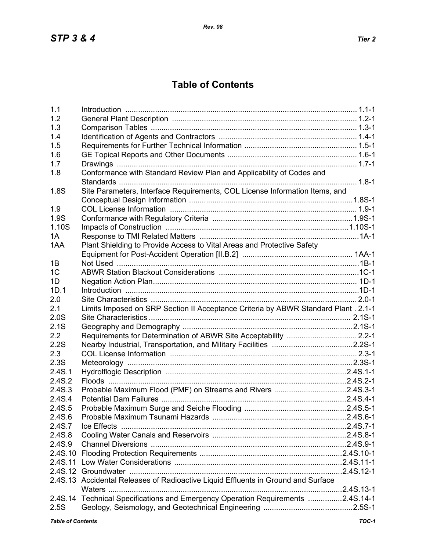## **Table of Contents**

| 1.1                      |                                                                                     |       |
|--------------------------|-------------------------------------------------------------------------------------|-------|
| 1.2                      |                                                                                     |       |
| 1.3                      |                                                                                     |       |
| 1.4                      |                                                                                     |       |
| 1.5                      |                                                                                     |       |
| 1.6                      |                                                                                     |       |
| 1.7                      |                                                                                     |       |
| 1.8                      | Conformance with Standard Review Plan and Applicability of Codes and                |       |
|                          |                                                                                     |       |
| 1.8S                     | Site Parameters, Interface Requirements, COL License Information Items, and         |       |
|                          |                                                                                     |       |
| 1.9                      |                                                                                     |       |
| 1.9S                     |                                                                                     |       |
| 1.10S                    |                                                                                     |       |
| 1A                       |                                                                                     |       |
| 1AA                      | Plant Shielding to Provide Access to Vital Areas and Protective Safety              |       |
|                          |                                                                                     |       |
| 1B                       |                                                                                     |       |
| 1 <sup>C</sup>           |                                                                                     |       |
| 1D                       |                                                                                     |       |
| 1D.1                     |                                                                                     |       |
| 2.0                      |                                                                                     |       |
| 2.1                      | Limits Imposed on SRP Section II Acceptance Criteria by ABWR Standard Plant . 2.1-1 |       |
| 2.0S                     |                                                                                     |       |
| 2.1S                     |                                                                                     |       |
| 2.2                      | Requirements for Determination of ABWR Site Acceptability  2.2-1                    |       |
| 2.2S                     |                                                                                     |       |
| 2.3                      |                                                                                     |       |
| 2.3S                     |                                                                                     |       |
| 2.4S.1                   |                                                                                     |       |
| 2.4S.2                   |                                                                                     |       |
| 2.4S.3                   | Probable Maximum Flood (PMF) on Streams and Rivers 2.4S.3-1                         |       |
| 2.4S.4                   |                                                                                     |       |
| 2.4S.5                   |                                                                                     |       |
| 2.4S.6                   |                                                                                     |       |
| 2.4S.7                   | Ice Effects                                                                         |       |
| 2.4S.8                   |                                                                                     |       |
| 2.4S.9                   |                                                                                     |       |
|                          |                                                                                     |       |
|                          |                                                                                     |       |
|                          |                                                                                     |       |
|                          |                                                                                     |       |
|                          | 2.4S.13 Accidental Releases of Radioactive Liquid Effluents in Ground and Surface   |       |
|                          | 2.4S.14 Technical Specifications and Emergency Operation Requirements 2.4S.14-1     |       |
| 2.5S                     |                                                                                     |       |
|                          |                                                                                     |       |
| <b>Table of Contents</b> |                                                                                     | TOC-1 |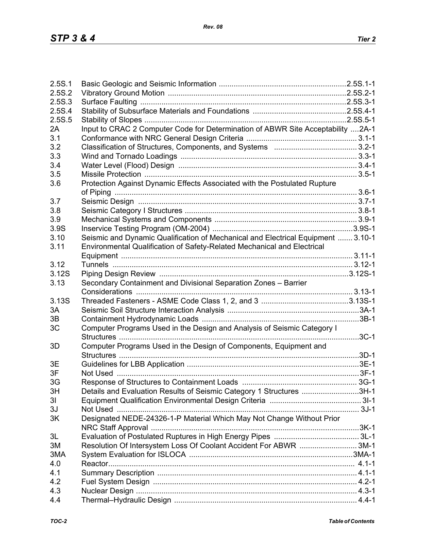| 2.5S.1 |                                                                                  |  |
|--------|----------------------------------------------------------------------------------|--|
| 2.5S.2 |                                                                                  |  |
| 2.5S.3 |                                                                                  |  |
| 2.5S.4 |                                                                                  |  |
| 2.5S.5 |                                                                                  |  |
| 2A     | Input to CRAC 2 Computer Code for Determination of ABWR Site Acceptability 2A-1  |  |
| 3.1    |                                                                                  |  |
| 3.2    |                                                                                  |  |
| 3.3    |                                                                                  |  |
| 3.4    |                                                                                  |  |
| 3.5    |                                                                                  |  |
| 3.6    | Protection Against Dynamic Effects Associated with the Postulated Rupture        |  |
|        |                                                                                  |  |
| 3.7    |                                                                                  |  |
|        |                                                                                  |  |
| 3.8    |                                                                                  |  |
| 3.9    |                                                                                  |  |
| 3.9S   |                                                                                  |  |
| 3.10   | Seismic and Dynamic Qualification of Mechanical and Electrical Equipment  3.10-1 |  |
| 3.11   | Environmental Qualification of Safety-Related Mechanical and Electrical          |  |
|        |                                                                                  |  |
| 3.12   |                                                                                  |  |
| 3.12S  |                                                                                  |  |
| 3.13   | Secondary Containment and Divisional Separation Zones - Barrier                  |  |
|        |                                                                                  |  |
| 3.13S  |                                                                                  |  |
| 3A     |                                                                                  |  |
| 3B     |                                                                                  |  |
| 3C     | Computer Programs Used in the Design and Analysis of Seismic Category I          |  |
|        |                                                                                  |  |
| 3D     | Computer Programs Used in the Design of Components, Equipment and                |  |
|        |                                                                                  |  |
| 3E     |                                                                                  |  |
| 3F     |                                                                                  |  |
| 3G     |                                                                                  |  |
| 3H     | Details and Evaluation Results of Seismic Category 1 Structures 3H-1             |  |
| 31     |                                                                                  |  |
| 3J     |                                                                                  |  |
| 3K     | Designated NEDE-24326-1-P Material Which May Not Change Without Prior            |  |
|        |                                                                                  |  |
| 3L     |                                                                                  |  |
| 3M     | Resolution Of Intersystem Loss Of Coolant Accident For ABWR 3M-1                 |  |
| 3MA    |                                                                                  |  |
| 4.0    |                                                                                  |  |
| 4.1    |                                                                                  |  |
| 4.2    |                                                                                  |  |
| 4.3    |                                                                                  |  |
| 4.4    |                                                                                  |  |
|        |                                                                                  |  |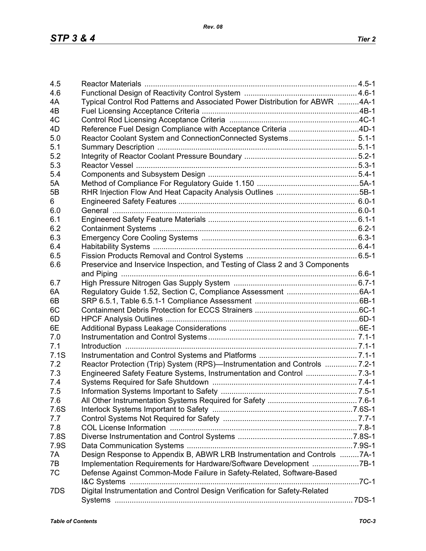| 4.5  |                                                                              |  |
|------|------------------------------------------------------------------------------|--|
| 4.6  |                                                                              |  |
| 4A   | Typical Control Rod Patterns and Associated Power Distribution for ABWR 4A-1 |  |
| 4B   |                                                                              |  |
| 4C   |                                                                              |  |
| 4D   | Reference Fuel Design Compliance with Acceptance Criteria 4D-1               |  |
| 5.0  |                                                                              |  |
| 5.1  |                                                                              |  |
| 5.2  |                                                                              |  |
| 5.3  |                                                                              |  |
| 5.4  |                                                                              |  |
| 5A   |                                                                              |  |
| 5B   |                                                                              |  |
| 6.   |                                                                              |  |
| 6.0  |                                                                              |  |
| 6.1  |                                                                              |  |
| 6.2  |                                                                              |  |
| 6.3  |                                                                              |  |
| 6.4  |                                                                              |  |
| 6.5  |                                                                              |  |
| 6.6  | Preservice and Inservice Inspection, and Testing of Class 2 and 3 Components |  |
|      |                                                                              |  |
| 6.7  |                                                                              |  |
|      |                                                                              |  |
| 6A   |                                                                              |  |
| 6B   |                                                                              |  |
| 6C   |                                                                              |  |
| 6D   |                                                                              |  |
| 6E   |                                                                              |  |
| 7.0  |                                                                              |  |
| 7.1  |                                                                              |  |
| 7.1S |                                                                              |  |
| 7.2  | Reactor Protection (Trip) System (RPS)—Instrumentation and Controls  7.2-1   |  |
| 7.3  |                                                                              |  |
| 7.4  |                                                                              |  |
| 7.5  |                                                                              |  |
| 7.6  |                                                                              |  |
| 7.6S |                                                                              |  |
| 7.7  |                                                                              |  |
| 7.8  |                                                                              |  |
| 7.8S |                                                                              |  |
| 7.9S |                                                                              |  |
| 7A   | Design Response to Appendix B, ABWR LRB Instrumentation and Controls 7A-1    |  |
| 7B   | Implementation Requirements for Hardware/Software Development 7B-1           |  |
| 7C   | Defense Against Common-Mode Failure in Safety-Related, Software-Based        |  |
|      |                                                                              |  |
| 7DS  | Digital Instrumentation and Control Design Verification for Safety-Related   |  |
|      |                                                                              |  |
|      |                                                                              |  |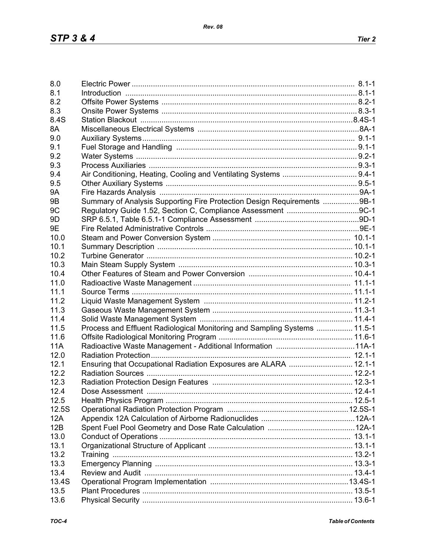| 8.0            |                                                                                                                |  |
|----------------|----------------------------------------------------------------------------------------------------------------|--|
| 8.1            | 1-1-1. B.1-1. B.1-1. B.1-1. B.1-1. B.1-1. B.1-1. B.1-1. B.1-1. B.1-1. B.1-1. B.1-1. B.1-1. B.1-1. B.1-1. B.1-1 |  |
| 8.2            |                                                                                                                |  |
| 8.3            |                                                                                                                |  |
| 8.4S           |                                                                                                                |  |
| 8A             |                                                                                                                |  |
| 9.0            |                                                                                                                |  |
| 9.1            |                                                                                                                |  |
|                |                                                                                                                |  |
| 9.2            |                                                                                                                |  |
| 9.3            |                                                                                                                |  |
| 9.4            |                                                                                                                |  |
| 9.5            |                                                                                                                |  |
| <b>9A</b>      |                                                                                                                |  |
| 9 <sub>B</sub> | Summary of Analysis Supporting Fire Protection Design Requirements 9B-1                                        |  |
| 9C             |                                                                                                                |  |
| 9 <sub>D</sub> |                                                                                                                |  |
| 9E             |                                                                                                                |  |
| 10.0           |                                                                                                                |  |
| 10.1           |                                                                                                                |  |
| 10.2           |                                                                                                                |  |
|                |                                                                                                                |  |
| 10.3           |                                                                                                                |  |
| 10.4           |                                                                                                                |  |
| 11.0           |                                                                                                                |  |
| 11.1           |                                                                                                                |  |
| 11.2           |                                                                                                                |  |
| 11.3           |                                                                                                                |  |
| 11.4           |                                                                                                                |  |
| 11.5           | Process and Effluent Radiological Monitoring and Sampling Systems  11.5-1                                      |  |
| 11.6           |                                                                                                                |  |
| <b>11A</b>     |                                                                                                                |  |
| 12.0           |                                                                                                                |  |
| 12.1           |                                                                                                                |  |
|                | Ensuring that Occupational Radiation Exposures are ALARA  12.1-1                                               |  |
| 12.2           |                                                                                                                |  |
| 12.3           |                                                                                                                |  |
| 12.4           |                                                                                                                |  |
| 12.5           |                                                                                                                |  |
| 12.5S          |                                                                                                                |  |
| 12A            |                                                                                                                |  |
| 12B            |                                                                                                                |  |
| 13.0           |                                                                                                                |  |
| 13.1           |                                                                                                                |  |
| 13.2           |                                                                                                                |  |
| 13.3           |                                                                                                                |  |
| 13.4           |                                                                                                                |  |
|                |                                                                                                                |  |
| 13.4S          |                                                                                                                |  |
| 13.5           |                                                                                                                |  |
| 13.6           |                                                                                                                |  |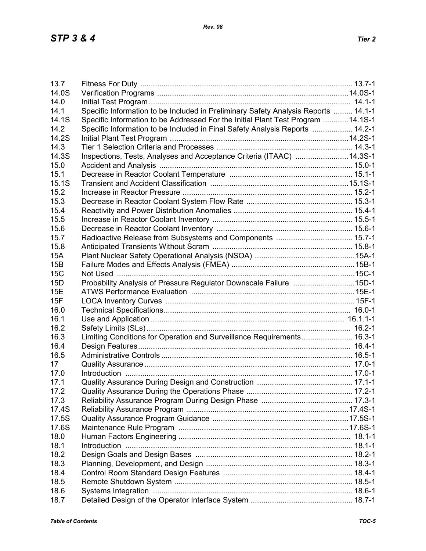| 13.7         |                                                                                    |  |
|--------------|------------------------------------------------------------------------------------|--|
| 14.0S        |                                                                                    |  |
| 14.0         |                                                                                    |  |
| 14.1         | Specific Information to be Included in Preliminary Safety Analysis Reports  14.1-1 |  |
| 14.1S        | Specific Information to be Addressed For the Initial Plant Test Program  14.1S-1   |  |
| 14.2         | Specific Information to be Included in Final Safety Analysis Reports  14.2-1       |  |
| 14.2S        |                                                                                    |  |
| 14.3         |                                                                                    |  |
| 14.3S        | Inspections, Tests, Analyses and Acceptance Criteria (ITAAC) 14.3S-1               |  |
| 15.0         |                                                                                    |  |
| 15.1         |                                                                                    |  |
| 15.1S        |                                                                                    |  |
| 15.2         |                                                                                    |  |
| 15.3         |                                                                                    |  |
| 15.4         |                                                                                    |  |
| 15.5         |                                                                                    |  |
| 15.6         |                                                                                    |  |
| 15.7         |                                                                                    |  |
| 15.8         |                                                                                    |  |
| <b>15A</b>   |                                                                                    |  |
| 15B          |                                                                                    |  |
| 15C          |                                                                                    |  |
| 15D          | Probability Analysis of Pressure Regulator Downscale Failure 15D-1                 |  |
| <b>15E</b>   |                                                                                    |  |
| 15F          |                                                                                    |  |
| 16.0         |                                                                                    |  |
| 16.1         |                                                                                    |  |
| 16.2         |                                                                                    |  |
| 16.3         | Limiting Conditions for Operation and Surveillance Requirements 16.3-1             |  |
| 16.4         |                                                                                    |  |
| 16.5         |                                                                                    |  |
| 17           |                                                                                    |  |
| 17.0         |                                                                                    |  |
| 17.1         |                                                                                    |  |
| 17.2         |                                                                                    |  |
| 17.3         |                                                                                    |  |
| 17.4S        |                                                                                    |  |
| 17.5S        |                                                                                    |  |
| 17.6S        |                                                                                    |  |
|              |                                                                                    |  |
| 18.0<br>18.1 |                                                                                    |  |
|              |                                                                                    |  |
| 18.2         |                                                                                    |  |
| 18.3         |                                                                                    |  |
| 18.4         |                                                                                    |  |
| 18.5         |                                                                                    |  |
| 18.6         |                                                                                    |  |
| 18.7         |                                                                                    |  |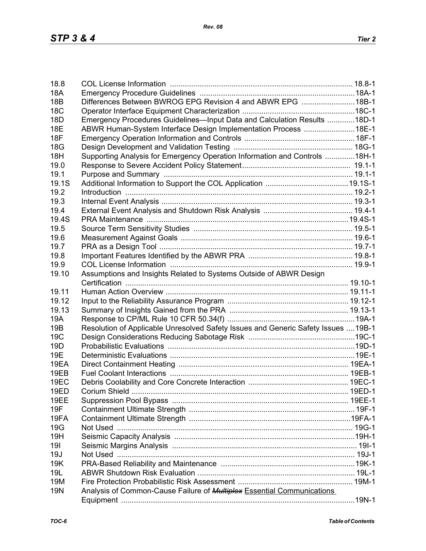| 18.8            |                                                                                    |  |
|-----------------|------------------------------------------------------------------------------------|--|
| <b>18A</b>      |                                                                                    |  |
| 18B             | Differences Between BWROG EPG Revision 4 and ABWR EPG 18B-1                        |  |
| <b>18C</b>      |                                                                                    |  |
| 18 <sub>D</sub> | Emergency Procedures Guidelines-Input Data and Calculation Results 18D-1           |  |
| <b>18E</b>      | ABWR Human-System Interface Design Implementation Process 18E-1                    |  |
| 18F             |                                                                                    |  |
| <b>18G</b>      |                                                                                    |  |
| 18H             | Supporting Analysis for Emergency Operation Information and Controls 18H-1         |  |
| 19.0            |                                                                                    |  |
| 19.1            |                                                                                    |  |
| 19.1S           |                                                                                    |  |
| 19.2            |                                                                                    |  |
| 19.3            |                                                                                    |  |
| 19.4            |                                                                                    |  |
| 19.4S           |                                                                                    |  |
| 19.5            |                                                                                    |  |
| 19.6            |                                                                                    |  |
| 19.7            |                                                                                    |  |
| 19.8            |                                                                                    |  |
| 19.9            |                                                                                    |  |
| 19.10           | Assumptions and Insights Related to Systems Outside of ABWR Design                 |  |
|                 |                                                                                    |  |
| 19.11           |                                                                                    |  |
| 19.12           |                                                                                    |  |
| 19.13           |                                                                                    |  |
| 19A             |                                                                                    |  |
| 19B             | Resolution of Applicable Unresolved Safety Issues and Generic Safety Issues  19B-1 |  |
| 19C             |                                                                                    |  |
| 19 <sub>D</sub> |                                                                                    |  |
| 19E             |                                                                                    |  |
| 19EA            |                                                                                    |  |
| 19EB            |                                                                                    |  |
| 19EC            |                                                                                    |  |
| 19ED            |                                                                                    |  |
| 19EE            |                                                                                    |  |
| 19F             |                                                                                    |  |
| 19FA            |                                                                                    |  |
| <b>19G</b>      |                                                                                    |  |
| 19H             |                                                                                    |  |
| 191             |                                                                                    |  |
| 19J             |                                                                                    |  |
| 19K             |                                                                                    |  |
| 19L             |                                                                                    |  |
| 19M             |                                                                                    |  |
| <b>19N</b>      |                                                                                    |  |
|                 | Analysis of Common-Cause Failure of <b>Multiplex</b> Essential Communications      |  |
|                 |                                                                                    |  |